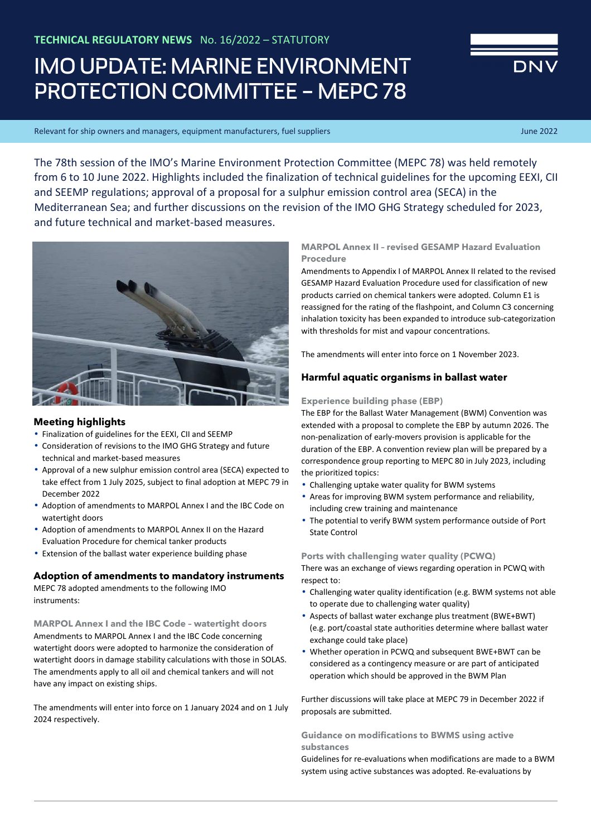# IMO UPDATE: MARINE ENVIRONMENT PROTECTION COMMITTEE – MEPC 78

Relevant for ship owners and managers, equipment manufacturers, fuel suppliers June 2022 and Tune 2022 and Tune 2022

The 78th session of the IMO's Marine Environment Protection Committee (MEPC 78) was held remotely from 6 to 10 June 2022. Highlights included the finalization of technical guidelines for the upcoming EEXI, CII and SEEMP regulations; approval of a proposal for a sulphur emission control area (SECA) in the Mediterranean Sea; and further discussions on the revision of the IMO GHG Strategy scheduled for 2023, and future technical and market-based measures.



# **Meeting highlights**

- Finalization of guidelines for the EEXI, CII and SEEMP
- Consideration of revisions to the IMO GHG Strategy and future technical and market-based measures
- Approval of a new sulphur emission control area (SECA) expected to take effect from 1 July 2025, subject to final adoption at MEPC 79 in December 2022
- Adoption of amendments to MARPOL Annex I and the IBC Code on watertight doors
- Adoption of amendments to MARPOL Annex II on the Hazard Evaluation Procedure for chemical tanker products
- Extension of the ballast water experience building phase

## **Adoption of amendments to mandatory instruments**

MEPC 78 adopted amendments to the following IMO instruments:

**MARPOL Annex I and the IBC Code – watertight doors**  Amendments to MARPOL Annex I and the IBC Code concerning watertight doors were adopted to harmonize the consideration of watertight doors in damage stability calculations with those in SOLAS. The amendments apply to all oil and chemical tankers and will not have any impact on existing ships.

The amendments will enter into force on 1 January 2024 and on 1 July 2024 respectively.

# **MARPOL Annex II – revised GESAMP Hazard Evaluation Procedure**

Amendments to Appendix I of MARPOL Annex II related to the revised GESAMP Hazard Evaluation Procedure used for classification of new products carried on chemical tankers were adopted. Column E1 is reassigned for the rating of the flashpoint, and Column C3 concerning inhalation toxicity has been expanded to introduce sub-categorization with thresholds for mist and vapour concentrations.

The amendments will enter into force on 1 November 2023.

# **Harmful aquatic organisms in ballast water**

## **Experience building phase (EBP)**

The EBP for the Ballast Water Management (BWM) Convention was extended with a proposal to complete the EBP by autumn 2026. The non-penalization of early-movers provision is applicable for the duration of the EBP. A convention review plan will be prepared by a correspondence group reporting to MEPC 80 in July 2023, including the prioritized topics:

- Challenging uptake water quality for BWM systems
- Areas for improving BWM system performance and reliability, including crew training and maintenance
- The potential to verify BWM system performance outside of Port State Control

**Ports with challenging water quality (PCWQ)** 

There was an exchange of views regarding operation in PCWQ with respect to:

- Challenging water quality identification (e.g. BWM systems not able to operate due to challenging water quality)
- Aspects of ballast water exchange plus treatment (BWE+BWT) (e.g. port/coastal state authorities determine where ballast water exchange could take place)
- Whether operation in PCWQ and subsequent BWE+BWT can be considered as a contingency measure or are part of anticipated operation which should be approved in the BWM Plan

Further discussions will take place at MEPC 79 in December 2022 if proposals are submitted.

**Guidance on modifications to BWMS using active substances** 

Guidelines for re-evaluations when modifications are made to a BWM system using active substances was adopted. Re-evaluations by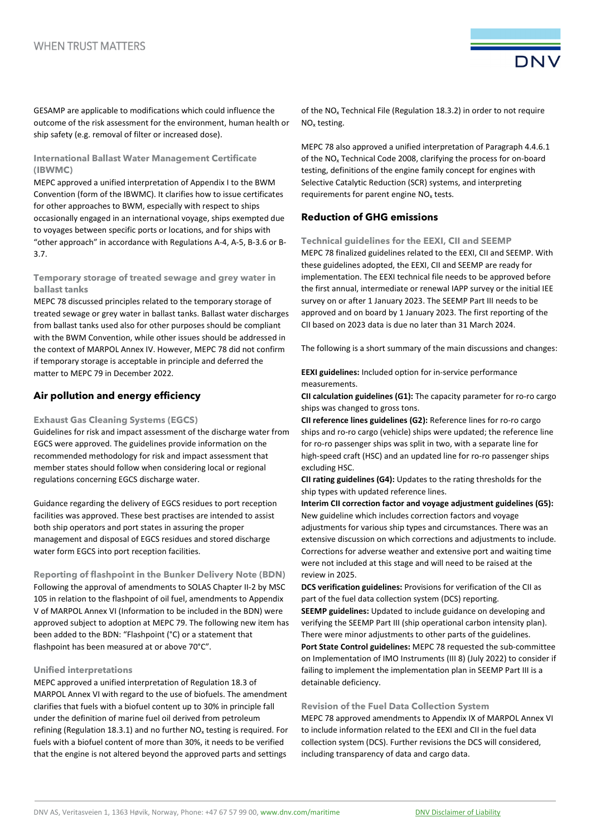GESAMP are applicable to modifications which could influence the outcome of the risk assessment for the environment, human health or ship safety (e.g. removal of filter or increased dose).

## **International Ballast Water Management Certificate (IBWMC)**

MEPC approved a unified interpretation of Appendix I to the BWM Convention (form of the IBWMC). It clarifies how to issue certificates for other approaches to BWM, especially with respect to ships occasionally engaged in an international voyage, ships exempted due to voyages between specific ports or locations, and for ships with "other approach" in accordance with Regulations A-4, A-5, B-3.6 or B-3.7.

## **Temporary storage of treated sewage and grey water in ballast tanks**

MEPC 78 discussed principles related to the temporary storage of treated sewage or grey water in ballast tanks. Ballast water discharges from ballast tanks used also for other purposes should be compliant with the BWM Convention, while other issues should be addressed in the context of MARPOL Annex IV. However, MEPC 78 did not confirm if temporary storage is acceptable in principle and deferred the matter to MEPC 79 in December 2022.

# **Air pollution and energy efficiency**

## **Exhaust Gas Cleaning Systems (EGCS)**

Guidelines for risk and impact assessment of the discharge water from EGCS were approved. The guidelines provide information on the recommended methodology for risk and impact assessment that member states should follow when considering local or regional regulations concerning EGCS discharge water.

Guidance regarding the delivery of EGCS residues to port reception facilities was approved. These best practises are intended to assist both ship operators and port states in assuring the proper management and disposal of EGCS residues and stored discharge water form EGCS into port reception facilities.

**Reporting of flashpoint in the Bunker Delivery Note (BDN)**  Following the approval of amendments to SOLAS Chapter II-2 by MSC 105 in relation to the flashpoint of oil fuel, amendments to Appendix V of MARPOL Annex VI (Information to be included in the BDN) were approved subject to adoption at MEPC 79. The following new item has been added to the BDN: "Flashpoint (°C) or a statement that flashpoint has been measured at or above 70°C".

#### **Unified interpretations**

MEPC approved a unified interpretation of Regulation 18.3 of MARPOL Annex VI with regard to the use of biofuels. The amendment clarifies that fuels with a biofuel content up to 30% in principle fall under the definition of marine fuel oil derived from petroleum refining (Regulation 18.3.1) and no further  $NO<sub>x</sub>$  testing is required. For fuels with a biofuel content of more than 30%, it needs to be verified that the engine is not altered beyond the approved parts and settings

of the NO<sub>x</sub> Technical File (Regulation 18.3.2) in order to not require NOx testing.

**DNV** 

MEPC 78 also approved a unified interpretation of Paragraph 4.4.6.1 of the  $NO<sub>x</sub>$  Technical Code 2008, clarifying the process for on-board testing, definitions of the engine family concept for engines with Selective Catalytic Reduction (SCR) systems, and interpreting requirements for parent engine  $NO<sub>x</sub>$  tests.

# **Reduction of GHG emissions**

**Technical guidelines for the EEXI, CII and SEEMP**  MEPC 78 finalized guidelines related to the EEXI, CII and SEEMP. With these guidelines adopted, the EEXI, CII and SEEMP are ready for implementation. The EEXI technical file needs to be approved before the first annual, intermediate or renewal IAPP survey or the initial IEE survey on or after 1 January 2023. The SEEMP Part III needs to be approved and on board by 1 January 2023. The first reporting of the CII based on 2023 data is due no later than 31 March 2024.

The following is a short summary of the main discussions and changes:

**EEXI guidelines:** Included option for in-service performance measurements.

**CII calculation guidelines (G1):** The capacity parameter for ro-ro cargo ships was changed to gross tons.

**CII reference lines guidelines (G2):** Reference lines for ro-ro cargo ships and ro-ro cargo (vehicle) ships were updated; the reference line for ro-ro passenger ships was split in two, with a separate line for high-speed craft (HSC) and an updated line for ro-ro passenger ships excluding HSC.

**CII rating guidelines (G4):** Updates to the rating thresholds for the ship types with updated reference lines.

**Interim CII correction factor and voyage adjustment guidelines (G5):** New guideline which includes correction factors and voyage adjustments for various ship types and circumstances. There was an extensive discussion on which corrections and adjustments to include. Corrections for adverse weather and extensive port and waiting time were not included at this stage and will need to be raised at the review in 2025.

**DCS verification guidelines:** Provisions for verification of the CII as part of the fuel data collection system (DCS) reporting. **SEEMP guidelines:** Updated to include guidance on developing and verifying the SEEMP Part III (ship operational carbon intensity plan). There were minor adjustments to other parts of the guidelines. **Port State Control guidelines:** MEPC 78 requested the sub-committee on Implementation of IMO Instruments (III 8) (July 2022) to consider if failing to implement the implementation plan in SEEMP Part III is a detainable deficiency.

#### **Revision of the Fuel Data Collection System**

MEPC 78 approved amendments to Appendix IX of MARPOL Annex VI to include information related to the EEXI and CII in the fuel data collection system (DCS). Further revisions the DCS will considered, including transparency of data and cargo data.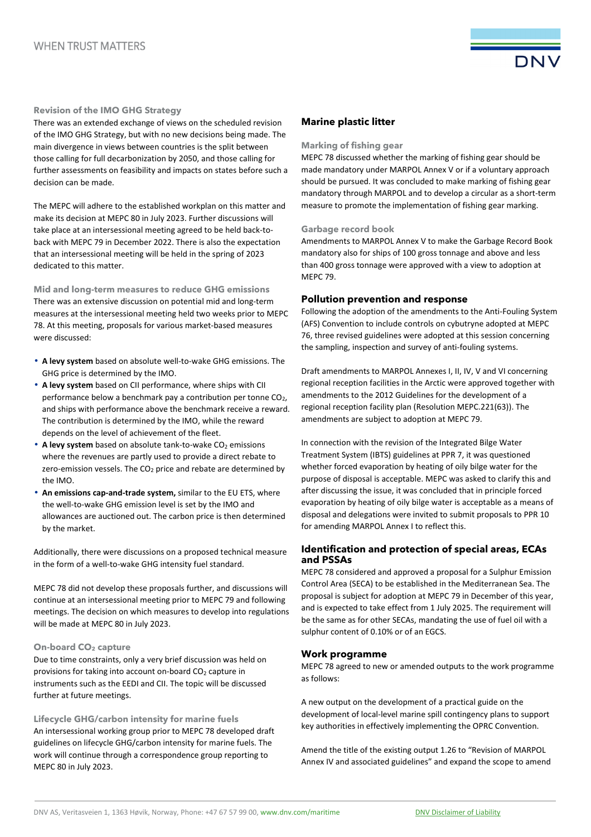

#### **Revision of the IMO GHG Strategy**

There was an extended exchange of views on the scheduled revision of the IMO GHG Strategy, but with no new decisions being made. The main divergence in views between countries is the split between those calling for full decarbonization by 2050, and those calling for further assessments on feasibility and impacts on states before such a decision can be made.

The MEPC will adhere to the established workplan on this matter and make its decision at MEPC 80 in July 2023. Further discussions will take place at an intersessional meeting agreed to be held back-toback with MEPC 79 in December 2022. There is also the expectation that an intersessional meeting will be held in the spring of 2023 dedicated to this matter.

**Mid and long-term measures to reduce GHG emissions**  There was an extensive discussion on potential mid and long-term measures at the intersessional meeting held two weeks prior to MEPC 78. At this meeting, proposals for various market-based measures were discussed:

- **A levy system** based on absolute well-to-wake GHG emissions. The GHG price is determined by the IMO.
- **A levy system** based on CII performance, where ships with CII performance below a benchmark pay a contribution per tonne CO<sub>2</sub>, and ships with performance above the benchmark receive a reward. The contribution is determined by the IMO, while the reward depends on the level of achievement of the fleet.
- A levy system based on absolute tank-to-wake CO<sub>2</sub> emissions where the revenues are partly used to provide a direct rebate to zero-emission vessels. The  $CO<sub>2</sub>$  price and rebate are determined by the IMO.
- **An emissions cap-and-trade system,** similar to the EU ETS, where the well-to-wake GHG emission level is set by the IMO and allowances are auctioned out. The carbon price is then determined by the market.

Additionally, there were discussions on a proposed technical measure in the form of a well-to-wake GHG intensity fuel standard.

MEPC 78 did not develop these proposals further, and discussions will continue at an intersessional meeting prior to MEPC 79 and following meetings. The decision on which measures to develop into regulations will be made at MEPC 80 in July 2023.

#### **On-board CO2 capture**

Due to time constraints, only a very brief discussion was held on provisions for taking into account on-board  $CO<sub>2</sub>$  capture in instruments such as the EEDI and CII. The topic will be discussed further at future meetings.

**Lifecycle GHG/carbon intensity for marine fuels**  An intersessional working group prior to MEPC 78 developed draft guidelines on lifecycle GHG/carbon intensity for marine fuels. The work will continue through a correspondence group reporting to MEPC 80 in July 2023.

# **Marine plastic litter**

#### **Marking of fishing gear**

MEPC 78 discussed whether the marking of fishing gear should be made mandatory under MARPOL Annex V or if a voluntary approach should be pursued. It was concluded to make marking of fishing gear mandatory through MARPOL and to develop a circular as a short-term measure to promote the implementation of fishing gear marking.

#### **Garbage record book**

Amendments to MARPOL Annex V to make the Garbage Record Book mandatory also for ships of 100 gross tonnage and above and less than 400 gross tonnage were approved with a view to adoption at MEPC 79.

## **Pollution prevention and response**

Following the adoption of the amendments to the Anti-Fouling System (AFS) Convention to include controls on cybutryne adopted at MEPC 76, three revised guidelines were adopted at this session concerning the sampling, inspection and survey of anti-fouling systems.

Draft amendments to MARPOL Annexes I, II, IV, V and VI concerning regional reception facilities in the Arctic were approved together with amendments to the 2012 Guidelines for the development of a regional reception facility plan (Resolution MEPC.221(63)). The amendments are subject to adoption at MEPC 79.

In connection with the revision of the Integrated Bilge Water Treatment System (IBTS) guidelines at PPR 7, it was questioned whether forced evaporation by heating of oily bilge water for the purpose of disposal is acceptable. MEPC was asked to clarify this and after discussing the issue, it was concluded that in principle forced evaporation by heating of oily bilge water is acceptable as a means of disposal and delegations were invited to submit proposals to PPR 10 for amending MARPOL Annex I to reflect this.

# **Identification and protection of special areas, ECAs and PSSAs**

MEPC 78 considered and approved a proposal for a Sulphur Emission Control Area (SECA) to be established in the Mediterranean Sea. The proposal is subject for adoption at MEPC 79 in December of this year, and is expected to take effect from 1 July 2025. The requirement will be the same as for other SECAs, mandating the use of fuel oil with a sulphur content of 0.10% or of an EGCS.

#### **Work programme**

MEPC 78 agreed to new or amended outputs to the work programme as follows:

A new output on the development of a practical guide on the development of local-level marine spill contingency plans to support key authorities in effectively implementing the OPRC Convention.

Amend the title of the existing output 1.26 to "Revision of MARPOL Annex IV and associated guidelines" and expand the scope to amend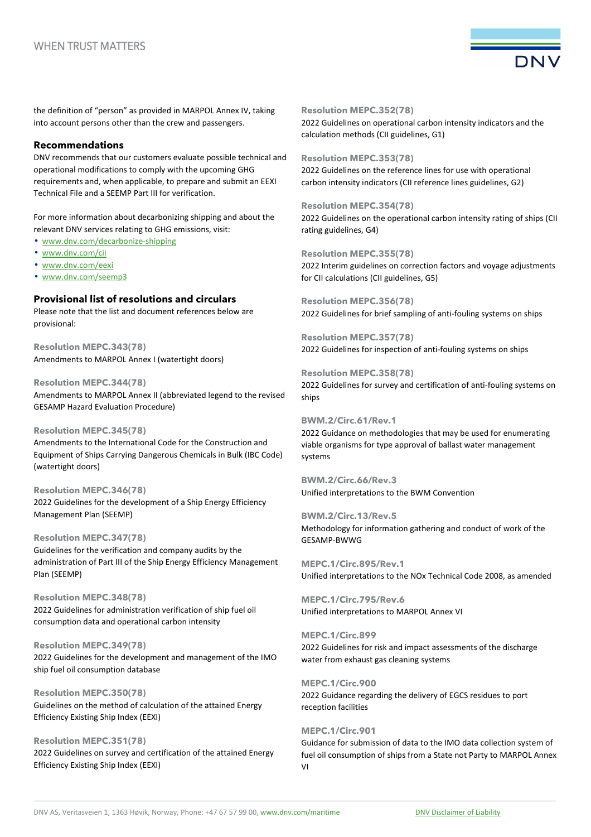

the definition of "person" as provided in MARPOL Annex IV, taking into account persons other than the crew and passengers.

## **Recommendations**

DNV recommends that our customers evaluate possible technical and operational modifications to comply with the upcoming GHG requirements and, when applicable, to prepare and submit an EEXI Technical File and a SEEMP Part III for verification.

For more information about decarbonizing shipping and about the relevant DNV services relating to GHG emissions, visit:

• www.dnv.com/decarbonize-shipping

- www.dnv.com/cii
- www.dnv.com/eexi
- www.dnv.com/seemp3

# **Provisional list of resolutions and circulars**

Please note that the list and document references below are provisional:

**Resolution MEPC.343(78)**  Amendments to MARPOL Annex I (watertight doors)

**Resolution MEPC.344(78)**  Amendments to MARPOL Annex II (abbreviated legend to the revised GESAMP Hazard Evaluation Procedure)

#### **Resolution MEPC.345(78)**

Amendments to the International Code for the Construction and Equipment of Ships Carrying Dangerous Chemicals in Bulk (IBC Code) (watertight doors)

**Resolution MEPC.346(78)**  2022 Guidelines for the development of a Ship Energy Efficiency Management Plan (SEEMP)

**Resolution MEPC.347(78)** 

Guidelines for the verification and company audits by the administration of Part III of the Ship Energy Efficiency Management Plan (SEEMP)

**Resolution MEPC.348(78)**  2022 Guidelines for administration verification of ship fuel oil consumption data and operational carbon intensity

**Resolution MEPC.349(78)**  2022 Guidelines for the development and management of the IMO ship fuel oil consumption database

**Resolution MEPC.350(78)**  Guidelines on the method of calculation of the attained Energy Efficiency Existing Ship Index (EEXI)

**Resolution MEPC.351(78)**  2022 Guidelines on survey and certification of the attained Energy Efficiency Existing Ship Index (EEXI)

**Resolution MEPC.352(78)** 

2022 Guidelines on operational carbon intensity indicators and the calculation methods (CII guidelines, G1)

**Resolution MEPC.353(78)** 

2022 Guidelines on the reference lines for use with operational carbon intensity indicators (CII reference lines guidelines, G2)

**Resolution MEPC.354(78)**  2022 Guidelines on the operational carbon intensity rating of ships (CII rating guidelines, G4)

**Resolution MEPC.355(78)**  2022 Interim guidelines on correction factors and voyage adjustments for CII calculations (CII guidelines, G5)

**Resolution MEPC.356(78)**  2022 Guidelines for brief sampling of anti-fouling systems on ships

**Resolution MEPC.357(78)**  2022 Guidelines for inspection of anti-fouling systems on ships

**Resolution MEPC.358(78)**  2022 Guidelines for survey and certification of anti-fouling systems on ships

#### **BWM.2/Circ.61/Rev.1**

2022 Guidance on methodologies that may be used for enumerating viable organisms for type approval of ballast water management systems

**BWM.2/Circ.66/Rev.3**  Unified interpretations to the BWM Convention

**BWM.2/Circ.13/Rev.5**  Methodology for information gathering and conduct of work of the GESAMP-BWWG

**MEPC.1/Circ.895/Rev.1**  Unified interpretations to the NOx Technical Code 2008, as amended

**MEPC.1/Circ.795/Rev.6**  Unified interpretations to MARPOL Annex VI

**MEPC.1/Circ.899**  2022 Guidelines for risk and impact assessments of the discharge water from exhaust gas cleaning systems

**MEPC.1/Circ.900** 

2022 Guidance regarding the delivery of EGCS residues to port reception facilities

**MEPC.1/Circ.901**  Guidance for submission of data to the IMO data collection system of fuel oil consumption of ships from a State not Party to MARPOL Annex VI